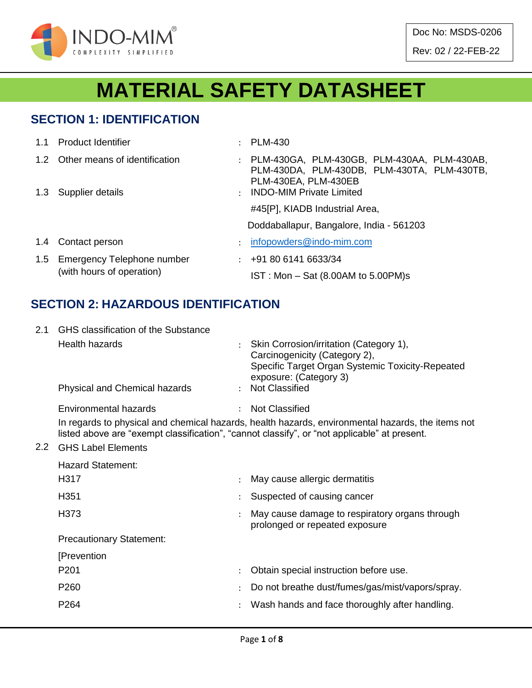

Doc No: MSDS-0206 Rev: 02 / 22-FEB-22

# **MATERIAL SAFETY DATASHEET**

#### **SECTION 1: IDENTIFICATION**

|               | 1.1 Product Identifier                                      | $\mathcal{L}$ | <b>PLM-430</b>                                                                                                       |
|---------------|-------------------------------------------------------------|---------------|----------------------------------------------------------------------------------------------------------------------|
|               | 1.2 Other means of identification                           |               | : PLM-430GA, PLM-430GB, PLM-430AA, PLM-430AB,<br>PLM-430DA, PLM-430DB, PLM-430TA, PLM-430TB,<br>PLM-430EA, PLM-430EB |
|               | 1.3 Supplier details                                        | $\mathcal{L}$ | <b>INDO-MIM Private Limited</b>                                                                                      |
|               |                                                             |               | #45[P], KIADB Industrial Area,                                                                                       |
|               |                                                             |               | Doddaballapur, Bangalore, India - 561203                                                                             |
| $1.4^{\circ}$ | Contact person                                              |               | infopowders@indo-mim.com                                                                                             |
|               | 1.5 Emergency Telephone number<br>(with hours of operation) |               | $\div$ +91 80 6141 6633/34                                                                                           |
|               |                                                             |               | $IST: Mon - Sat (8.00AM to 5.00PM)s$                                                                                 |

#### **SECTION 2: HAZARDOUS IDENTIFICATION**

| 2.1 | GHS classification of the Substance |                                                                                                                                                                                                   |
|-----|-------------------------------------|---------------------------------------------------------------------------------------------------------------------------------------------------------------------------------------------------|
|     | <b>Health hazards</b>               | Skin Corrosion/irritation (Category 1),<br>Carcinogenicity (Category 2),<br>Specific Target Organ Systemic Toxicity-Repeated<br>exposure: (Category 3)                                            |
|     | Physical and Chemical hazards       | : Not Classified                                                                                                                                                                                  |
|     | Environmental hazards               | <b>Not Classified</b>                                                                                                                                                                             |
|     |                                     | In regards to physical and chemical hazards, health hazards, environmental hazards, the items not<br>listed above are "exempt classification", "cannot classify", or "not applicable" at present. |
| 2.2 | <b>GHS Label Elements</b>           |                                                                                                                                                                                                   |
|     | <b>Hazard Statement:</b>            |                                                                                                                                                                                                   |
|     | H317                                | May cause allergic dermatitis                                                                                                                                                                     |
|     | H351                                | Suspected of causing cancer                                                                                                                                                                       |
|     | H373                                | May cause damage to respiratory organs through<br>prolonged or repeated exposure                                                                                                                  |
|     | <b>Precautionary Statement:</b>     |                                                                                                                                                                                                   |
|     | [Prevention                         |                                                                                                                                                                                                   |
|     | P <sub>201</sub>                    | Obtain special instruction before use.                                                                                                                                                            |
|     | P <sub>260</sub>                    | Do not breathe dust/fumes/gas/mist/vapors/spray.                                                                                                                                                  |
|     | P264                                | Wash hands and face thoroughly after handling.                                                                                                                                                    |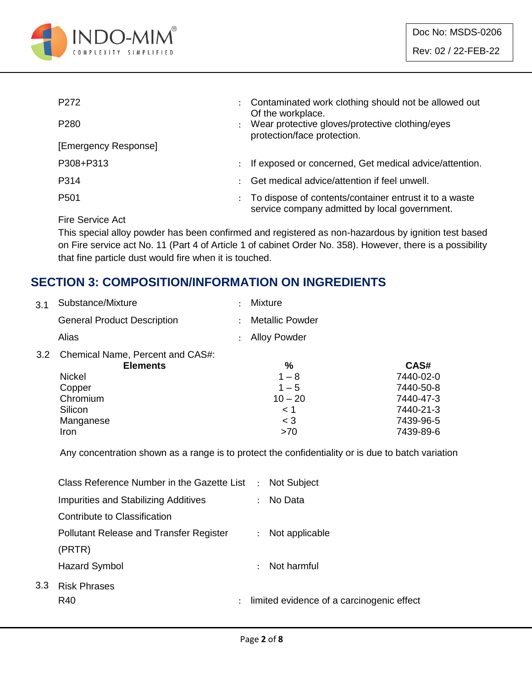

| P <sub>272</sub>                                                                                                                                                                                                                                                                                                                                                                                                                                                                           | Contaminated work clothing should not be allowed out<br>Of the workplace.                               |  |
|--------------------------------------------------------------------------------------------------------------------------------------------------------------------------------------------------------------------------------------------------------------------------------------------------------------------------------------------------------------------------------------------------------------------------------------------------------------------------------------------|---------------------------------------------------------------------------------------------------------|--|
| P <sub>280</sub>                                                                                                                                                                                                                                                                                                                                                                                                                                                                           | Wear protective gloves/protective clothing/eyes<br>protection/face protection.                          |  |
| [Emergency Response]                                                                                                                                                                                                                                                                                                                                                                                                                                                                       |                                                                                                         |  |
| P308+P313                                                                                                                                                                                                                                                                                                                                                                                                                                                                                  | If exposed or concerned, Get medical advice/attention.                                                  |  |
| P314                                                                                                                                                                                                                                                                                                                                                                                                                                                                                       | Get medical advice/attention if feel unwell.                                                            |  |
| P <sub>501</sub>                                                                                                                                                                                                                                                                                                                                                                                                                                                                           | To dispose of contents/container entrust it to a waste<br>service company admitted by local government. |  |
| $\blacksquare$ $\blacksquare$ $\blacksquare$ $\blacksquare$ $\blacksquare$ $\blacksquare$ $\blacksquare$ $\blacksquare$ $\blacksquare$ $\blacksquare$ $\blacksquare$ $\blacksquare$ $\blacksquare$ $\blacksquare$ $\blacksquare$ $\blacksquare$ $\blacksquare$ $\blacksquare$ $\blacksquare$ $\blacksquare$ $\blacksquare$ $\blacksquare$ $\blacksquare$ $\blacksquare$ $\blacksquare$ $\blacksquare$ $\blacksquare$ $\blacksquare$ $\blacksquare$ $\blacksquare$ $\blacksquare$ $\blacks$ |                                                                                                         |  |

Fire Service Act

 $3.3$ 

This special alloy powder has been confirmed and registered as non-hazardous by ignition test based on Fire service act No. 11 (Part 4 of Article 1 of cabinet Order No. 358). However, there is a possibility that fine particle dust would fire when it is touched.

### **SECTION 3: COMPOSITION/INFORMATION ON INGREDIENTS**

| 3.1 | Substance/Mixture                                   | <b>Mixture</b>         |           |
|-----|-----------------------------------------------------|------------------------|-----------|
|     | <b>General Product Description</b>                  | <b>Metallic Powder</b> |           |
|     | Alias                                               | <b>Alloy Powder</b>    |           |
| 3.2 | Chemical Name, Percent and CAS#:<br><b>Elements</b> | %                      | CAS#      |
|     | <b>Nickel</b>                                       | $1 - 8$                | 7440-02-0 |
|     | Copper                                              | $1 - 5$                | 7440-50-8 |
|     | Chromium                                            | $10 - 20$              | 7440-47-3 |
|     | Silicon                                             | < 1                    | 7440-21-3 |
|     | Manganese                                           | $<$ 3                  | 7439-96-5 |
|     | Iron                                                | >70                    | 7439-89-6 |
|     |                                                     |                        |           |

Any concentration shown as a range is to protect the confidentiality or is due to batch variation

| Class Reference Number in the Gazette List     | $\ddot{\phantom{a}}$ | <b>Not Subject</b>                          |
|------------------------------------------------|----------------------|---------------------------------------------|
| <b>Impurities and Stabilizing Additives</b>    | $\mathcal{L}$        | No Data                                     |
| Contribute to Classification                   |                      |                                             |
| <b>Pollutant Release and Transfer Register</b> |                      | Not applicable<br>$\mathbb{R}^{\mathbb{Z}}$ |
| (PRTR)                                         |                      |                                             |
| <b>Hazard Symbol</b>                           |                      | Not harmful                                 |
| <b>Risk Phrases</b>                            |                      |                                             |
| R40                                            |                      | limited evidence of a carcinogenic effect   |
|                                                |                      |                                             |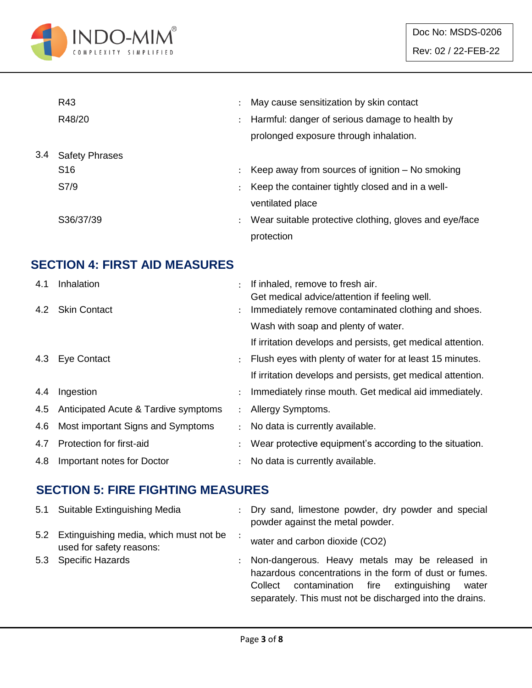

|     | R43                   |                      | May cause sensitization by skin contact                |
|-----|-----------------------|----------------------|--------------------------------------------------------|
|     | R48/20                | $\ddot{\phantom{0}}$ | Harmful: danger of serious damage to health by         |
|     |                       |                      | prolonged exposure through inhalation.                 |
| 3.4 | <b>Safety Phrases</b> |                      |                                                        |
|     | S <sub>16</sub>       | ÷                    | Keep away from sources of ignition $-$ No smoking      |
|     | S7/9                  |                      | Keep the container tightly closed and in a well-       |
|     |                       |                      | ventilated place                                       |
|     | S36/37/39             | $\ddot{\phantom{a}}$ | Wear suitable protective clothing, gloves and eye/face |
|     |                       |                      | protection                                             |

### **SECTION 4: FIRST AID MEASURES**

| 4.1 | Inhalation                               |                      | If inhaled, remove to fresh air.                            |
|-----|------------------------------------------|----------------------|-------------------------------------------------------------|
|     | 4.2 Skin Contact                         |                      | Get medical advice/attention if feeling well.               |
|     |                                          |                      | Immediately remove contaminated clothing and shoes.         |
|     |                                          |                      | Wash with soap and plenty of water.                         |
|     |                                          |                      | If irritation develops and persists, get medical attention. |
|     | 4.3 Eye Contact                          |                      | Flush eyes with plenty of water for at least 15 minutes.    |
|     |                                          |                      | If irritation develops and persists, get medical attention. |
| 4.4 | Ingestion                                |                      | Immediately rinse mouth. Get medical aid immediately.       |
|     | 4.5 Anticipated Acute & Tardive symptoms | $\ddot{\phantom{0}}$ | Allergy Symptoms.                                           |
| 4.6 | Most important Signs and Symptoms        |                      | No data is currently available.                             |
| 4.7 | Protection for first-aid                 |                      | Wear protective equipment's according to the situation.     |
| 4.8 | Important notes for Doctor               |                      | No data is currently available.                             |

#### **SECTION 5: FIRE FIGHTING MEASURES**

| 5.1 Suitable Extinguishing Media                                       | : Dry sand, limestone powder, dry powder and special<br>powder against the metal powder.                                                                                                                                          |
|------------------------------------------------------------------------|-----------------------------------------------------------------------------------------------------------------------------------------------------------------------------------------------------------------------------------|
| 5.2 Extinguishing media, which must not be<br>used for safety reasons: | water and carbon dioxide (CO2)                                                                                                                                                                                                    |
| 5.3 Specific Hazards                                                   | : Non-dangerous. Heavy metals may be released in<br>hazardous concentrations in the form of dust or fumes.<br>contamination fire<br>extinguishing<br>Collect<br>water<br>separately. This must not be discharged into the drains. |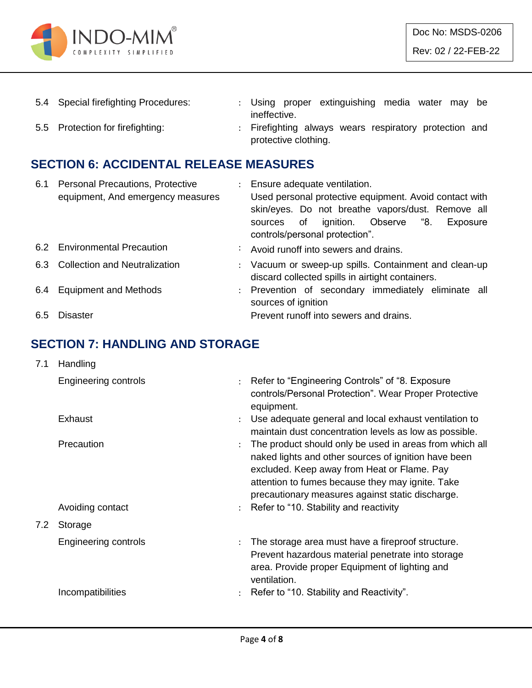

| 5.4 Special firefighting Procedures: |                      |  | : Using proper extinguishing media water may be        |  |  |  |
|--------------------------------------|----------------------|--|--------------------------------------------------------|--|--|--|
|                                      | ineffective.         |  |                                                        |  |  |  |
| 5.5 Protection for firefighting:     |                      |  | : Firefighting always wears respiratory protection and |  |  |  |
|                                      | protective clothing. |  |                                                        |  |  |  |

## **SECTION 6: ACCIDENTAL RELEASE MEASURES**

| 6.1 | <b>Personal Precautions, Protective</b> | $\mathcal{L}$ | Ensure adequate ventilation.                           |
|-----|-----------------------------------------|---------------|--------------------------------------------------------|
|     | equipment, And emergency measures       |               | Used personal protective equipment. Avoid contact with |
|     |                                         |               | skin/eyes. Do not breathe vapors/dust. Remove all      |
|     |                                         |               | ignition. Observe "8.<br>of<br>Exposure<br>sources     |
|     |                                         |               | controls/personal protection".                         |
|     | 6.2 Environmental Precaution            |               | : Avoid runoff into sewers and drains.                 |
|     | 6.3 Collection and Neutralization       |               | : Vacuum or sweep-up spills. Containment and clean-up  |
|     |                                         |               | discard collected spills in airtight containers.       |
| 6.4 | <b>Equipment and Methods</b>            |               | : Prevention of secondary immediately eliminate all    |
|     |                                         |               | sources of ignition                                    |
| 6.5 | <b>Disaster</b>                         |               | Prevent runoff into sewers and drains.                 |

#### **SECTION 7: HANDLING AND STORAGE**

| 7.1 | Handling                       |                           |                                                                                                                                                                                                                                                                                                                  |
|-----|--------------------------------|---------------------------|------------------------------------------------------------------------------------------------------------------------------------------------------------------------------------------------------------------------------------------------------------------------------------------------------------------|
|     | Engineering controls           |                           | : Refer to "Engineering Controls" of "8. Exposure<br>controls/Personal Protection". Wear Proper Protective<br>equipment.                                                                                                                                                                                         |
|     | Exhaust                        | $\ddot{\phantom{a}}$      | Use adequate general and local exhaust ventilation to<br>maintain dust concentration levels as low as possible.                                                                                                                                                                                                  |
|     | Precaution<br>Avoiding contact |                           | The product should only be used in areas from which all<br>naked lights and other sources of ignition have been<br>excluded. Keep away from Heat or Flame. Pay<br>attention to fumes because they may ignite. Take<br>precautionary measures against static discharge.<br>Refer to "10. Stability and reactivity |
| 7.2 | Storage                        |                           |                                                                                                                                                                                                                                                                                                                  |
|     | <b>Engineering controls</b>    | $\mathbb{R}^{\mathbb{Z}}$ | The storage area must have a fireproof structure.<br>Prevent hazardous material penetrate into storage<br>area. Provide proper Equipment of lighting and<br>ventilation.                                                                                                                                         |
|     | Incompatibilities              |                           | Refer to "10. Stability and Reactivity".                                                                                                                                                                                                                                                                         |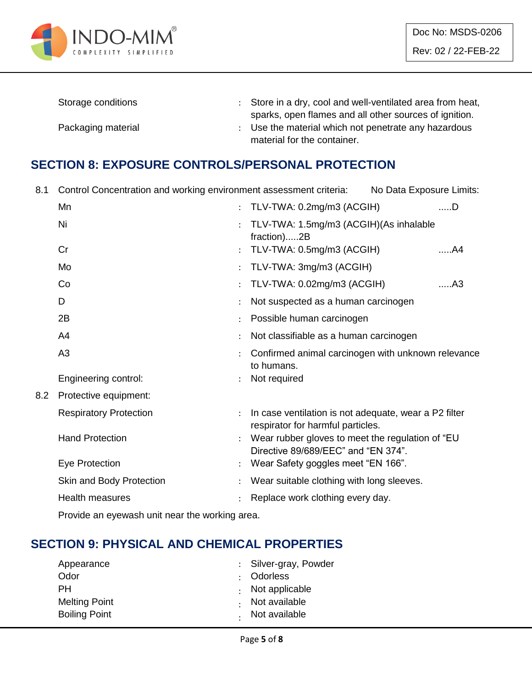

| Storage conditions | : Store in a dry, cool and well-ventilated area from heat, |
|--------------------|------------------------------------------------------------|
|                    | sparks, open flames and all other sources of ignition.     |
| Packaging material | : Use the material which not penetrate any hazardous       |
|                    | material for the container.                                |

#### **SECTION 8: EXPOSURE CONTROLS/PERSONAL PROTECTION**

8.1 Control Concentration and working environment assessment criteria: No Data Exposure Limits:

|     | Mn                            | TLV-TWA: 0.2mg/m3 (ACGIH)                                                                  | $$ D |
|-----|-------------------------------|--------------------------------------------------------------------------------------------|------|
|     | Ni                            | TLV-TWA: 1.5mg/m3 (ACGIH)(As inhalable<br>fraction)2B                                      |      |
|     | Cr                            | TLV-TWA: 0.5mg/m3 (ACGIH)                                                                  | A4   |
|     | Mo                            | TLV-TWA: 3mg/m3 (ACGIH)                                                                    |      |
|     | Co                            | TLV-TWA: 0.02mg/m3 (ACGIH)                                                                 | A3   |
|     | D                             | Not suspected as a human carcinogen                                                        |      |
|     | 2B                            | Possible human carcinogen                                                                  |      |
|     | A4                            | Not classifiable as a human carcinogen                                                     |      |
|     | A <sub>3</sub>                | Confirmed animal carcinogen with unknown relevance<br>to humans.                           |      |
|     | Engineering control:          | Not required                                                                               |      |
| 8.2 | Protective equipment:         |                                                                                            |      |
|     | <b>Respiratory Protection</b> | In case ventilation is not adequate, wear a P2 filter<br>respirator for harmful particles. |      |
|     | <b>Hand Protection</b>        | Wear rubber gloves to meet the regulation of "EU<br>Directive 89/689/EEC" and "EN 374".    |      |
|     | Eye Protection                | Wear Safety goggles meet "EN 166".                                                         |      |
|     | Skin and Body Protection      | Wear suitable clothing with long sleeves.                                                  |      |
|     | <b>Health measures</b>        | Replace work clothing every day.                                                           |      |
|     |                               |                                                                                            |      |

Provide an eyewash unit near the working area.

#### **SECTION 9: PHYSICAL AND CHEMICAL PROPERTIES**

| : Silver-gray, Powder  |
|------------------------|
| : Odorless             |
| $\cdot$ Not applicable |
| Not available          |
| . Not available        |
|                        |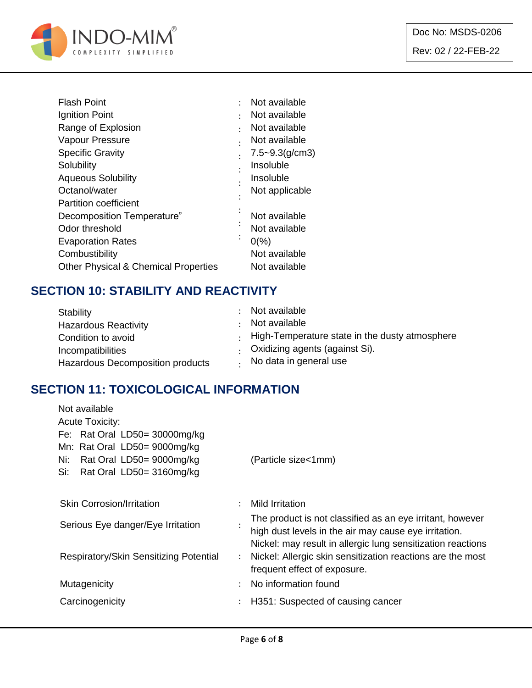

| <b>Flash Point</b>                              |         | Not available       |
|-------------------------------------------------|---------|---------------------|
| Ignition Point                                  |         | Not available       |
| Range of Explosion                              |         | Not available       |
| Vapour Pressure                                 |         | Not available       |
| <b>Specific Gravity</b>                         |         | $7.5 - 9.3$ (g/cm3) |
| Solubility                                      |         | Insoluble           |
| <b>Aqueous Solubility</b>                       |         | Insoluble           |
| Octanol/water                                   |         | Not applicable      |
| <b>Partition coefficient</b>                    |         |                     |
| Decomposition Temperature"                      |         | Not available       |
| Odor threshold                                  |         | Not available       |
| <b>Evaporation Rates</b>                        | $\cdot$ | $0\frac{9}{6}$      |
| Combustibility                                  |         | Not available       |
| <b>Other Physical &amp; Chemical Properties</b> |         | Not available       |

### **SECTION 10: STABILITY AND REACTIVITY**

| Stability                        | : Not available                                        |
|----------------------------------|--------------------------------------------------------|
| <b>Hazardous Reactivity</b>      | Not available                                          |
| Condition to avoid               | $\cdot$ High-Temperature state in the dusty atmosphere |
| <b>Incompatibilities</b>         | Oxidizing agents (against Si).                         |
| Hazardous Decomposition products | No data in general use                                 |

### **SECTION 11: TOXICOLOGICAL INFORMATION**

| Not available                          |                      |                                                             |  |  |  |
|----------------------------------------|----------------------|-------------------------------------------------------------|--|--|--|
| <b>Acute Toxicity:</b>                 |                      |                                                             |  |  |  |
| Fe: Rat Oral LD50= 30000mg/kg          |                      |                                                             |  |  |  |
| Mn: Rat Oral LD50= 9000mg/kg           |                      |                                                             |  |  |  |
| Rat Oral LD50= 9000mg/kg<br>Ni:        |                      | (Particle size<1mm)                                         |  |  |  |
| Rat Oral LD50= 3160mg/kg<br>Si:        |                      |                                                             |  |  |  |
|                                        |                      |                                                             |  |  |  |
| <b>Skin Corrosion/Irritation</b>       | ÷                    | Mild Irritation                                             |  |  |  |
| Serious Eye danger/Eye Irritation      |                      | The product is not classified as an eye irritant, however   |  |  |  |
|                                        |                      | high dust levels in the air may cause eye irritation.       |  |  |  |
|                                        | $\ddot{\phantom{0}}$ | Nickel: may result in allergic lung sensitization reactions |  |  |  |
| Respiratory/Skin Sensitizing Potential |                      | Nickel: Allergic skin sensitization reactions are the most  |  |  |  |
|                                        |                      | frequent effect of exposure.                                |  |  |  |
| Mutagenicity<br>$\bullet$              |                      | No information found                                        |  |  |  |
| Carcinogenicity                        | ÷                    | H351: Suspected of causing cancer                           |  |  |  |
|                                        |                      |                                                             |  |  |  |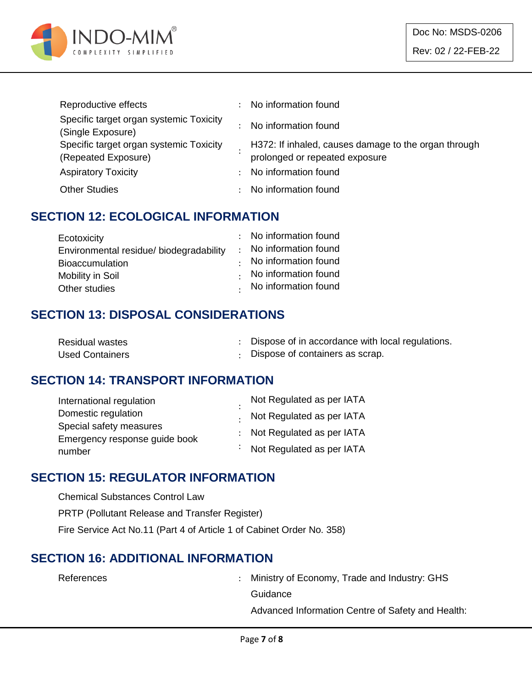

| Reproductive effects                                           |               | No information found                                                                   |
|----------------------------------------------------------------|---------------|----------------------------------------------------------------------------------------|
| Specific target organ systemic Toxicity<br>(Single Exposure)   |               | No information found                                                                   |
| Specific target organ systemic Toxicity<br>(Repeated Exposure) |               | H372: If inhaled, causes damage to the organ through<br>prolonged or repeated exposure |
| <b>Aspiratory Toxicity</b>                                     | $\mathcal{L}$ | No information found                                                                   |
| <b>Other Studies</b>                                           |               | No information found                                                                   |

#### **SECTION 12: ECOLOGICAL INFORMATION**

| Ecotoxicity                             | : No information found       |
|-----------------------------------------|------------------------------|
| Environmental residue/ biodegradability | : No information found       |
| <b>Bioaccumulation</b>                  | $\cdot$ No information found |
| Mobility in Soil                        | No information found         |
| Other studies                           | . No information found       |

#### **SECTION 13: DISPOSAL CONSIDERATIONS**

| Residual wastes        | Dispose of in accordance with local regulations. |
|------------------------|--------------------------------------------------|
| <b>Used Containers</b> | : Dispose of containers as scrap.                |

#### **SECTION 14: TRANSPORT INFORMATION**

| International regulation      |  | Not Regulated as per IATA   |
|-------------------------------|--|-----------------------------|
| Domestic regulation           |  | . Not Regulated as per IATA |
| Special safety measures       |  | : Not Regulated as per IATA |
| Emergency response guide book |  |                             |
| number                        |  | : Not Regulated as per IATA |

#### **SECTION 15: REGULATOR INFORMATION**

Chemical Substances Control Law PRTP (Pollutant Release and Transfer Register) Fire Service Act No.11 (Part 4 of Article 1 of Cabinet Order No. 358)

#### **SECTION 16: ADDITIONAL INFORMATION**

References : Ministry of Economy, Trade and Industry: GHS **Guidance** 

Advanced Information Centre of Safety and Health: